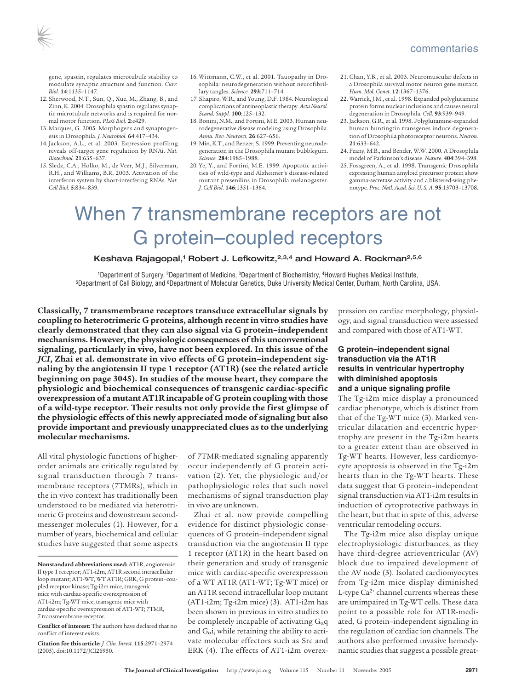

gene, spastin, regulates microtubule stability to modulate synaptic structure and function. *Curr. Biol.* **14**:1135–1147.

- 12. Sherwood, N.T., Sun, Q., Xue, M., Zhang, B., and Zinn, K. 2004. Drosophila spastin regulates synaptic microtubule networks and is required for normal motor function. *PLoS Biol.* **2**:e429.
- 13. Marques, G. 2005. Morphogens and synaptogenesis in Drosophila. *J. Neurobiol.* **64**:417–434.
- 14. Jackson, A.L., et al. 2003. Expression profiling reveals off-target gene regulation by RNAi. *Nat. Biotechnol.* **21**:635–637.
- 15. Sledz, C.A., Holko, M., de Veer, M.J., Silverman, R.H., and Williams, B.R. 2003. Activation of the interferon system by short-interfering RNAs. *Nat. Cell Biol.* **5**:834–839.
- 16. Wittmann, C.W., et al. 2001. Tauopathy in Drosophila: neurodegeneration without neurofibrillary tangles. *Science.* **293**:711–714.
- 17. Shapiro, W.R., and Young, D.F. 1984. Neurological complications of antineoplastic therapy.*Acta Neurol. Scand. Suppl.* **100**:125–132.
- 18. Bonini, N.M., and Fortini, M.E. 2003. Human neurodegenerative disease modeling using Drosophila. *Annu. Rev. Neurosci.* **26**:627–656.
- 19. Min, K.T., and Benzer, S. 1999. Preventing neurodegeneration in the Drosophila mutant bubblegum. *Science.* **284**:1985–1988.
- 20. Ye, Y., and Fortini, M.E. 1999. Apoptotic activities of wild-type and Alzheimer's disease-related mutant presenilins in Drosophila melanogaster. *J. Cell Biol.* **146**:1351–1364.
- 21. Chan, Y.B., et al. 2003. Neuromuscular defects in a Drosophila survival motor neuron gene mutant. *Hum. Mol. Genet.* **12**:1367–1376.
- 22. Warrick, J.M., et al. 1998. Expanded polyglutamine protein forms nuclearinclusions and causes neural degeneration in Drosophila. *Cell.* **93**:939–949.
- 23. Jackson, G.R., et al. 1998. Polyglutamine-expanded human huntingtin transgenes induce degeneration of Drosophila photoreceptor neurons. *Neuron.* **21**:633–642.
- 24. Feany, M.B., and Bender, W.W. 2000. A Drosophila model of Parkinson's disease. *Nature.* **404**:394–398.
- 25. Fossgreen, A., et al. 1998. Transgenic Drosophila expressing human amyloid precursor protein show gamma-secretase activity and a blistered-wing phenotype. *Proc. Natl. Acad. Sci. U. S. A.* **95**:13703–13708.

# When 7 transmembrane receptors are not G protein–coupled receptors

# Keshava Rajagopal,<sup>1</sup> Robert J. Lefkowitz,<sup>2,3,4</sup> and Howard A. Rockman<sup>2,5,6</sup>

<sup>1</sup>Department of Surgery, <sup>2</sup>Department of Medicine, <sup>3</sup>Department of Biochemistry, <sup>4</sup>Howard Hughes Medical Institute,<br>FDepartment of Cell Biology, and <sup>6</sup>Department of Molecular Genetics, Duke University Medical Center,

**Classically, 7 transmembrane receptors transduce extracellular signals by coupling to heterotrimeric G proteins, although recent in vitro studies have clearly demonstrated that they can also signal via G protein–independent mechanisms. However,the physiologic consequences ofthis unconventional signaling, particularly in vivo, have not been explored. In this issue of the** *JCI***, Zhai et al. demonstrate in vivo effects of G protein–independent signaling by the angiotensin II type 1 receptor (AT1R) (see the related article beginning on page 3045). In studies of the mouse heart, they compare the physiologic and biochemical consequences of transgenic cardiac-specific overexpression of a mutant AT1Rincapable of G protein coupling with those of a wild-type receptor. Their results not only provide the first glimpse of the physiologic effects of this newly appreciated mode of signaling but also provide important and previously unappreciated clues as to the underlying molecular mechanisms.**

All vital physiologic functions of higherorder animals are critically regulated by signal transduction through 7 transmembrane receptors (7TMRs), which in the in vivo context has traditionally been understood to be mediated via heterotrimeric G proteins and downstream secondmessenger molecules (1). However, for a number of years, biochemical and cellular studies have suggested that some aspects

**Citation for this article:** *J. Clin. Invest.* **115**:2971–2974 (2005). doi:10.1172/JCI26950.

of 7TMR-mediated signaling apparently occur independently of G protein activation (2). Yet, the physiologic and/or pathophysiologic roles that such novel mechanisms of signal transduction play in vivo are unknown.

Zhai et al. now provide compelling evidence for distinct physiologic consequences of G protein–independent signal transduction via the angiotensin II type 1 receptor (AT1R) in the heart based on their generation and study of transgenic mice with cardiac-specific overexpression of a WT AT1R (AT1-WT; Tg-WT mice) or an AT1R second intracellular loop mutant  $(AT1-i2m; Tg-i2m mice)$  (3).  $AT1-i2m has$ been shown in previous in vitro studies to be completely incapable of activating  $G_{\alpha}q$ and  $G_{\alpha}$ i, while retaining the ability to activate molecular effectors such as Src and ERK (4). The effects of AT1-i2m overexpression on cardiac morphology, physiology, and signal transduction were assessed and compared with those of AT1-WT.

# **G protein–independent signal transduction via the AT1R results in ventricular hypertrophy with diminished apoptosis and a unique signaling profile**

The Tg-i2m mice display a pronounced cardiac phenotype, which is distinct from that of the Tg-WT mice (3). Marked ventricular dilatation and eccentric hypertrophy are present in the Tg-i2m hearts to a greater extent than are observed in Tg-WT hearts. However, less cardiomyocyte apoptosis is observed in the Tg-i2m hearts than in the Tg-WT hearts. These data suggest that G protein–independent signal transduction via AT1-i2m results in induction of cytoprotective pathways in the heart, but that in spite of this, adverse ventricular remodeling occurs.

The Tg-i2m mice also display unique electrophysiologic disturbances, as they have third-degree atrioventricular (AV) block due to impaired development of the AV node (3). Isolated cardiomyocytes from Tg-i2m mice display diminished L-type Ca<sup>2+</sup> channel currents whereas these are unimpaired in Tg-WT cells. These data point to a possible role for AT1R-mediated, G protein–independent signaling in the regulation of cardiac ion channels. The authors also performed invasive hemodynamic studies that suggest a possible great-

**Nonstandard abbreviations used:** AT1R, angiotensin II type 1 receptor; AT1-i2m, AT1R second intracellular loop mutant; AT1-WT, WT AT1R; GRK, G protein–coupled receptor kinase; Tg-i2m mice, transgenic mice with cardiac-specific overexpression of AT1-i2m; Tg-WT mice, transgenic mice with cardiac-specific overexpression of AT1-WT; 7TMR, 7 transmembrane receptor.

**Conflict of interest:** The authors have declared that no conflict of interest exists.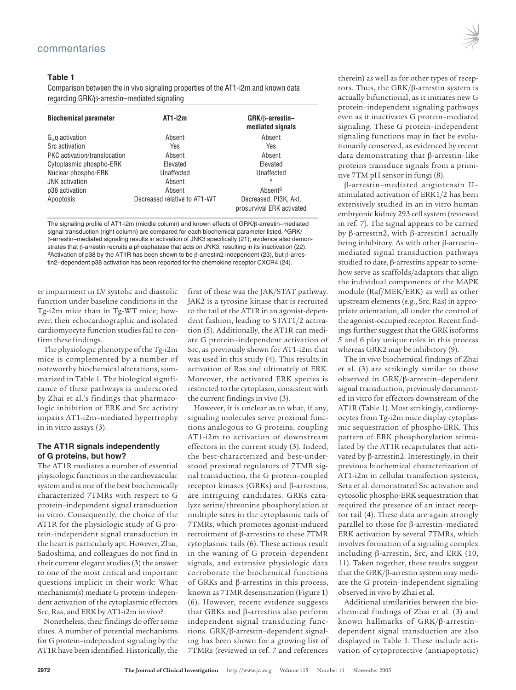# **Table 1**

Comparison between the in vivo signaling properties of the AT1-i2m and known data regarding GRK/β-arrestin–mediated signaling

| <b>Biochemical parameter</b> | AT1-i2m                      | $GRK/\beta$ -arrestin-<br>mediated signals         |
|------------------------------|------------------------------|----------------------------------------------------|
| $G_{\alpha}$ q activation    | Absent                       | Absent                                             |
| Src activation               | Yes                          | Yes                                                |
| PKC activation/translocation | Absent                       | Absent                                             |
| Cytoplasmic phospho-ERK      | Elevated                     | Elevated                                           |
| Nuclear phospho-ERK          | Unaffected                   | Unaffected                                         |
| <b>JNK</b> activation        | Absent                       | Α                                                  |
| p38 activation               | Absent                       | Absent <sup>B</sup>                                |
| Apoptosis                    | Decreased relative to AT1-WT | Decreased; PI3K, Akt.<br>prosurvival ERK activated |

The signaling profile of AT1-i2m (middle column) and known effects of GRK/β-arrestin–mediated signal transduction (right column) are compared for each biochemical parameter listed. AGRK/ β-arrestin–mediated signaling results in activation of JNK3 specifically (21); evidence also demon-<br>strates that β-arrestin recruits a phosphatase that acts on JNK3, resulting in its inactivation (22). <sup>B</sup>Activation of p38 by the AT1R has been shown to be β-arrestin2 independent (23), but β-arrestin2–dependent p38 activation has been reported for the chemokine receptor CXCR4 (24).

er impairment in LV systolic and diastolic function under baseline conditions in the Tg-i2m mice than in Tg-WT mice; however, their echocardiographic and isolated cardiomyocyte function studies fail to confirm these findings.

The physiologic phenotype of the Tg-i2m mice is complemented by a number of noteworthy biochemical alterations, summarized in Table 1. The biological significance of these pathways is underscored by Zhai et al.'s findings that pharmacologic inhibition of ERK and Src activity impairs AT1-i2m–mediated hypertrophy in in vitro assays (3).

### **The AT1R signals independently of G proteins, but how?**

The AT1R mediates a number of essential physiologic functions in the cardiovascular system and is one of the best biochemically characterized 7TMRs with respect to G protein–independent signal transduction in vitro. Consequently, the choice of the AT1R for the physiologic study of G protein–independent signal transduction in the heart is particularly apt. However, Zhai, Sadoshima, and colleagues do not find in their current elegant studies (3) the answer to one of the most critical and important questions implicit in their work: What mechanism(s) mediate G protein–independent activation of the cytoplasmic effectors Src, Ras, and ERK by AT1-i2m in vivo?

Nonetheless, their findings do offer some clues. A number of potential mechanisms for G protein-independent signaling by the AT1R have been identified. Historically, the

first of these was the JAK/STAT pathway. JAK2 is a tyrosine kinase that is recruited to the tail of the AT1R in an agonist-dependent fashion, leading to STAT1/2 activation (5). Additionally, the AT1R can mediate G protein–independent activation of Src, as previously shown for AT1-i2m that was used in this study (4). This results in activation of Ras and ultimately of ERK. Moreover, the activated ERK species is restricted to the cytoplasm, consistent with the current findings in vivo (3).

However, it is unclear as to what, if any, signaling molecules serve proximal functions analogous to G proteins, coupling AT1-i2m to activation of downstream effectors in the current study (3). Indeed, the best-characterized and best-understood proximal regulators of 7TMR signal transduction, the G protein–coupled receptor kinases (GRKs) and β-arrestins, are intriguing candidates. GRKs catalyze serine/threonine phosphorylation at multiple sites in the cytoplasmic tails of 7TMRs, which promotes agonist-induced recruitment of β-arrestins to these 7TMR cytoplasmic tails (6). These actions result in the waning of G protein–dependent signals, and extensive physiologic data corroborate the biochemical functions of GRKs and β-arrestins in this process, known as 7TMR desensitization (Figure 1) (6). However, recent evidence suggests that GRKs and β-arrestins also perform independent signal transducing functions. GRK/β-arrestin–dependent signaling has been shown for a growing list of 7TMRs (reviewed in ref. 7 and references

therein) as well as for other types of receptors. Thus, the GRK/β-arrestin system is actually bifunctional, as it initiates new G protein–independent signaling pathways even as it inactivates G protein–mediated signaling. These G protein–independent signaling functions may in fact be evolutionarily conserved, as evidenced by recent data demonstrating that β-arrestin–like proteins transduce signals from a primitive 7TM pH sensor in fungi (8).

β-arrestin–mediated angiotensin II– stimulated activation of ERK1/2 has been extensively studied in an in vitro human embryonic kidney 293 cellsystem (reviewed in ref. 7). The signal appears to be carried by β-arrestin2, with β-arrestin1 actually being inhibitory. As with other β-arrestin– mediated signal transduction pathways studied to date,  $β$ -arrestins appear to somehow serve as scaffolds/adaptors that align the individual components of the MAPK module (Raf/MEK/ERK) as well as other upstream elements(e.g., Src, Ras) in appropriate orientation, all under the control of the agonist-occupied receptor. Recent findings further suggest that the GRK isoforms 5 and 6 play unique roles in this process whereas GRK2 may be inhibitory (9).

The in vivo biochemical findings of Zhai et al. (3) are strikingly similar to those observed in GRK/β-arrestin–dependent signal transduction, previously documented in vitro for effectors downstream of the AT1R (Table 1). Most strikingly, cardiomyocytes from Tg-i2m mice display cytoplasmic sequestration of phospho-ERK. This pattern of ERK phosphorylation stimulated by the AT1R recapitulates that activated by β-arrestin2. Interestingly, in their previous biochemical characterization of AT1-i2m in cellular transfection systems, Seta et al. demonstrated Src activation and cytosolic phospho-ERK sequestration that required the presence of an intact receptor tail (4). These data are again strongly parallel to those for β-arrestin–mediated ERK activation by several 7TMRs, which involves formation of a signaling complex including β-arrestin, Src, and ERK (10, 11). Taken together, these results suggest that the GRK/β-arrestin system may mediate the G protein–independent signaling observed in vivo by Zhai et al.

Additional similarities between the biochemical findings of Zhai et al. (3) and known hallmarks of GRK/β-arrestin– dependent signal transduction are also displayed in Table 1. These include activation of cytoprotective (antiapoptotic)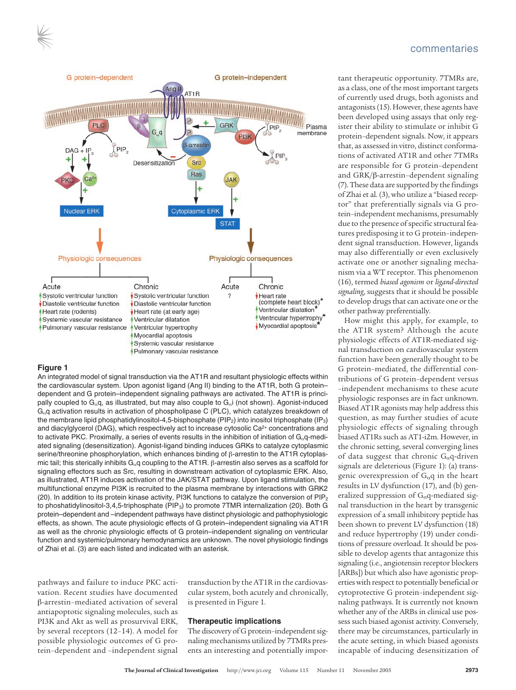



#### **Figure 1**

An integrated model of signal transduction via the AT1R and resultant physiologic effects within the cardiovascular system. Upon agonist ligand (Ang II) binding to the AT1R, both G protein– dependent and G protein–independent signaling pathways are activated. The AT1R is principally coupled to G<sub>a</sub>q, as illustrated, but may also couple to G<sub>a</sub>i (not shown). Agonist-induced Gαq activation results in activation of phospholipase C (PLC), which catalyzes breakdown of the membrane lipid phosphatidylinositol-4,5-bisphosphate (PIP<sub>2</sub>) into inositol triphosphate (IP<sub>3</sub>) and diacylglycerol (DAG), which respectively act to increase cytosolic Ca<sup>2+</sup> concentrations and to activate PKC. Proximally, a series of events results in the inhibition of initiation of  $G_\alpha q$ -mediated signaling (desensitization). Agonist-ligand binding induces GRKs to catalyze cytoplasmic serine/threonine phosphorylation, which enhances binding of β-arrestin to the AT1R cytoplasmic tail; this sterically inhibits  $G_αq$  coupling to the AT1R.  $β$ -arrestin also serves as a scaffold for signaling effectors such as Src, resulting in downstream activation of cytoplasmic ERK. Also, as illustrated, AT1R induces activation of the JAK/STAT pathway. Upon ligand stimulation, the multifunctional enzyme PI3K is recruited to the plasma membrane by interactions with GRK2 (20). In addition to its protein kinase activity, PI3K functions to catalyze the conversion of  $\mathsf{PIP}_2$ to phoshatidylinositol-3,4,5-triphosphate ( $PIP_3$ ) to promote 7TMR internalization (20). Both G protein–dependent and –independent pathways have distinct physiologic and pathophysiologic effects, as shown. The acute physiologic effects of G protein–independent signaling via AT1R as well as the chronic physiologic effects of G protein–independent signaling on ventricular function and systemic/pulmonary hemodynamics are unknown. The novel physiologic findings of Zhai et al. (3) are each listed and indicated with an asterisk.

pathways and failure to induce PKC activation. Recent studies have documented β-arrestin–mediated activation of several antiapoptotic signaling molecules, such as PI3K and Akt as well as prosurvival ERK, by several receptors (12–14). A model for possible physiologic outcomes of G protein–dependent and –independent signal transduction by the AT1R in the cardiovascular system, both acutely and chronically, is presented in Figure 1.

#### **Therapeutic implications**

The discovery of G protein-independent signaling mechanisms utilized by 7TMRs presents an interesting and potentially impor-

#### commentaries

tant therapeutic opportunity. 7TMRs are, as a class, one of the most important targets of currently used drugs, both agonists and antagonists (15). However, these agents have been developed using assays that only register their ability to stimulate or inhibit G protein–dependent signals. Now, it appears that, as assessed in vitro, distinct conformations of activated AT1R and other 7TMRs are responsible for G protein–dependent and GRK/β-arrestin–dependent signaling (7).These data are supported by the findings of Zhai et al. (3), who utilize a "biased receptor" that preferentially signals via G protein–independent mechanisms, presumably due to the presence of specific structural features predisposing it to G protein–independent signal transduction. However, ligands may also differentially or even exclusively activate one or another signaling mechanism via a WT receptor. This phenomenon (16), termed *biased agonism* or *ligand-directed signaling*, suggests that it should be possible to develop drugs that can activate one or the other pathway preferentially.

How might this apply, for example, to the AT1R system? Although the acute physiologic effects of AT1R-mediated signal transduction on cardiovascular system function have been generally thought to be G protein–mediated, the differential contributions of G protein–dependent versus –independent mechanisms to these acute physiologic responses are in fact unknown. Biased AT1R agonists may help address this question, as may further studies of acute physiologic effects of signaling through biased AT1Rs such as AT1-i2m. However, in the chronic setting, several converging lines of data suggest that chronic  $G_{\alpha}$ q-driven signals are deleterious (Figure 1): (a) transgenic overexpression of  $G_{\alpha}q$  in the heart results in LV dysfunction (17), and (b) generalized suppression of  $G_{\alpha}q$ -mediated signal transduction in the heart by transgenic expression of a small inhibitory peptide has been shown to prevent LV dysfunction (18) and reduce hypertrophy (19) under conditions of pressure overload. It should be possible to develop agents that antagonize this signaling (i.e., angiotensin receptor blockers [ARBs]) but which also have agonistic properties with respect to potentially beneficial or cytoprotective G protein–independent signaling pathways. It is currently not known whether any of the ARBs in clinical use possesssuch biased agonist activity. Conversely, there may be circumstances, particularly in the acute setting, in which biased agonists incapable of inducing desensitization of